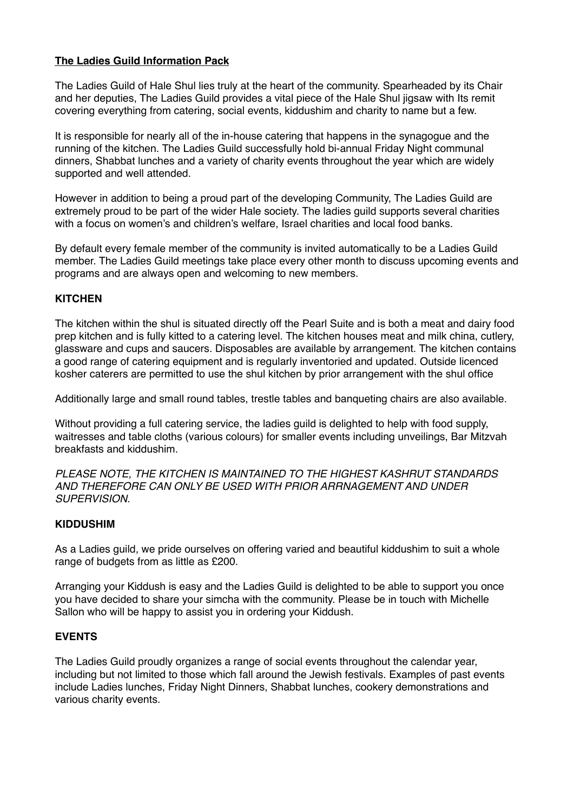## **The Ladies Guild Information Pack**

The Ladies Guild of Hale Shul lies truly at the heart of the community. Spearheaded by its Chair and her deputies, The Ladies Guild provides a vital piece of the Hale Shul jigsaw with Its remit covering everything from catering, social events, kiddushim and charity to name but a few.

It is responsible for nearly all of the in-house catering that happens in the synagogue and the running of the kitchen. The Ladies Guild successfully hold bi-annual Friday Night communal dinners, Shabbat lunches and a variety of charity events throughout the year which are widely supported and well attended.

However in addition to being a proud part of the developing Community, The Ladies Guild are extremely proud to be part of the wider Hale society. The ladies guild supports several charities with a focus on women's and children's welfare, Israel charities and local food banks.

By default every female member of the community is invited automatically to be a Ladies Guild member. The Ladies Guild meetings take place every other month to discuss upcoming events and programs and are always open and welcoming to new members.

## **KITCHEN**

The kitchen within the shul is situated directly off the Pearl Suite and is both a meat and dairy food prep kitchen and is fully kitted to a catering level. The kitchen houses meat and milk china, cutlery, glassware and cups and saucers. Disposables are available by arrangement. The kitchen contains a good range of catering equipment and is regularly inventoried and updated. Outside licenced kosher caterers are permitted to use the shul kitchen by prior arrangement with the shul office

Additionally large and small round tables, trestle tables and banqueting chairs are also available.

Without providing a full catering service, the ladies guild is delighted to help with food supply, waitresses and table cloths (various colours) for smaller events including unveilings, Bar Mitzvah breakfasts and kiddushim.

*PLEASE NOTE, THE KITCHEN IS MAINTAINED TO THE HIGHEST KASHRUT STANDARDS AND THEREFORE CAN ONLY BE USED WITH PRIOR ARRNAGEMENT AND UNDER SUPERVISION.*

#### **KIDDUSHIM**

As a Ladies guild, we pride ourselves on offering varied and beautiful kiddushim to suit a whole range of budgets from as little as £200.

Arranging your Kiddush is easy and the Ladies Guild is delighted to be able to support you once you have decided to share your simcha with the community. Please be in touch with Michelle Sallon who will be happy to assist you in ordering your Kiddush.

#### **EVENTS**

The Ladies Guild proudly organizes a range of social events throughout the calendar year, including but not limited to those which fall around the Jewish festivals. Examples of past events include Ladies lunches, Friday Night Dinners, Shabbat lunches, cookery demonstrations and various charity events.